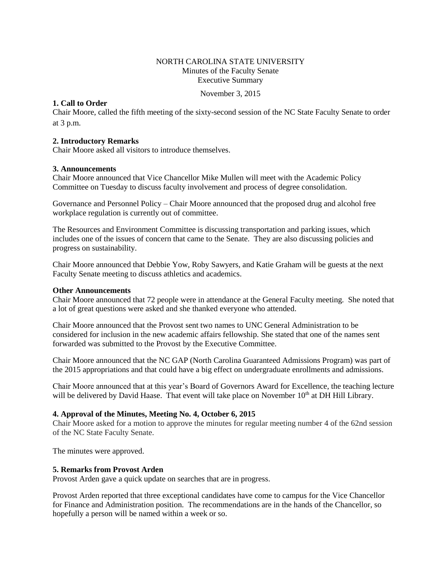## NORTH CAROLINA STATE UNIVERSITY Minutes of the Faculty Senate Executive Summary

November 3, 2015

# **1. Call to Order**

Chair Moore, called the fifth meeting of the sixty-second session of the NC State Faculty Senate to order at 3 p.m.

## **2. Introductory Remarks**

Chair Moore asked all visitors to introduce themselves.

### **3. Announcements**

Chair Moore announced that Vice Chancellor Mike Mullen will meet with the Academic Policy Committee on Tuesday to discuss faculty involvement and process of degree consolidation.

Governance and Personnel Policy – Chair Moore announced that the proposed drug and alcohol free workplace regulation is currently out of committee.

The Resources and Environment Committee is discussing transportation and parking issues, which includes one of the issues of concern that came to the Senate. They are also discussing policies and progress on sustainability.

Chair Moore announced that Debbie Yow, Roby Sawyers, and Katie Graham will be guests at the next Faculty Senate meeting to discuss athletics and academics.

### **Other Announcements**

Chair Moore announced that 72 people were in attendance at the General Faculty meeting. She noted that a lot of great questions were asked and she thanked everyone who attended.

Chair Moore announced that the Provost sent two names to UNC General Administration to be considered for inclusion in the new academic affairs fellowship. She stated that one of the names sent forwarded was submitted to the Provost by the Executive Committee.

Chair Moore announced that the NC GAP (North Carolina Guaranteed Admissions Program) was part of the 2015 appropriations and that could have a big effect on undergraduate enrollments and admissions.

Chair Moore announced that at this year's Board of Governors Award for Excellence, the teaching lecture will be delivered by David Haase. That event will take place on November  $10<sup>th</sup>$  at DH Hill Library.

# **4. Approval of the Minutes, Meeting No. 4, October 6, 2015**

Chair Moore asked for a motion to approve the minutes for regular meeting number 4 of the 62nd session of the NC State Faculty Senate.

The minutes were approved.

# **5. Remarks from Provost Arden**

Provost Arden gave a quick update on searches that are in progress.

Provost Arden reported that three exceptional candidates have come to campus for the Vice Chancellor for Finance and Administration position. The recommendations are in the hands of the Chancellor, so hopefully a person will be named within a week or so.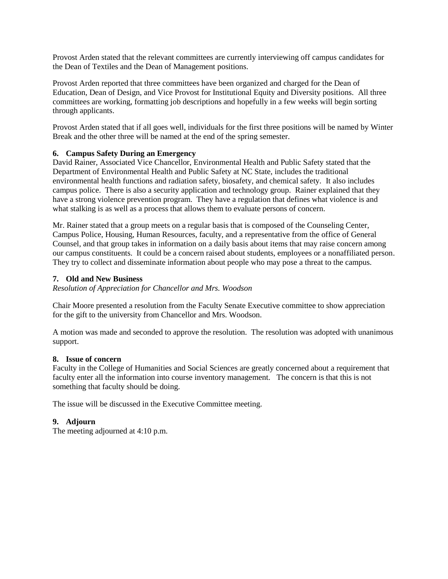Provost Arden stated that the relevant committees are currently interviewing off campus candidates for the Dean of Textiles and the Dean of Management positions.

Provost Arden reported that three committees have been organized and charged for the Dean of Education, Dean of Design, and Vice Provost for Institutional Equity and Diversity positions. All three committees are working, formatting job descriptions and hopefully in a few weeks will begin sorting through applicants.

Provost Arden stated that if all goes well, individuals for the first three positions will be named by Winter Break and the other three will be named at the end of the spring semester.

# **6. Campus Safety During an Emergency**

David Rainer, Associated Vice Chancellor, Environmental Health and Public Safety stated that the Department of Environmental Health and Public Safety at NC State, includes the traditional environmental health functions and radiation safety, biosafety, and chemical safety. It also includes campus police. There is also a security application and technology group. Rainer explained that they have a strong violence prevention program. They have a regulation that defines what violence is and what stalking is as well as a process that allows them to evaluate persons of concern.

Mr. Rainer stated that a group meets on a regular basis that is composed of the Counseling Center, Campus Police, Housing, Human Resources, faculty, and a representative from the office of General Counsel, and that group takes in information on a daily basis about items that may raise concern among our campus constituents. It could be a concern raised about students, employees or a nonaffiliated person. They try to collect and disseminate information about people who may pose a threat to the campus.

# **7. Old and New Business**

*Resolution of Appreciation for Chancellor and Mrs. Woodson*

Chair Moore presented a resolution from the Faculty Senate Executive committee to show appreciation for the gift to the university from Chancellor and Mrs. Woodson.

A motion was made and seconded to approve the resolution. The resolution was adopted with unanimous support.

# **8. Issue of concern**

Faculty in the College of Humanities and Social Sciences are greatly concerned about a requirement that faculty enter all the information into course inventory management. The concern is that this is not something that faculty should be doing.

The issue will be discussed in the Executive Committee meeting.

# **9. Adjourn**

The meeting adjourned at 4:10 p.m.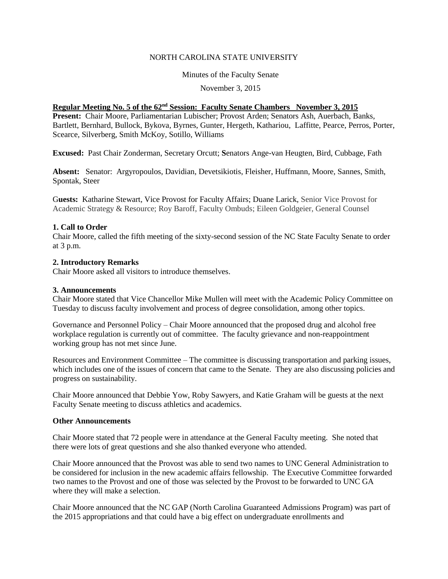## NORTH CAROLINA STATE UNIVERSITY

Minutes of the Faculty Senate

November 3, 2015

# **Regular Meeting No. 5 of the 62nd Session: Faculty Senate Chambers November 3, 2015**

**Present:** Chair Moore, Parliamentarian Lubischer; Provost Arden; Senators Ash, Auerbach, Banks, Bartlett, Bernhard, Bullock, Bykova, Byrnes, Gunter, Hergeth, Kathariou, Laffitte, Pearce, Perros, Porter, Scearce, Silverberg, Smith McKoy, Sotillo, Williams

**Excused:** Past Chair Zonderman, Secretary Orcutt; **S**enators Ange-van Heugten, Bird, Cubbage, Fath

**Absent:** Senator: Argyropoulos, Davidian, Devetsikiotis, Fleisher, Huffmann, Moore, Sannes, Smith, Spontak, Steer

G**uests:** Katharine Stewart, Vice Provost for Faculty Affairs; Duane Larick, Senior Vice Provost for Academic Strategy & Resource; Roy Baroff, Faculty Ombuds; Eileen Goldgeier, General Counsel

### **1. Call to Order**

Chair Moore, called the fifth meeting of the sixty-second session of the NC State Faculty Senate to order at 3 p.m.

### **2. Introductory Remarks**

Chair Moore asked all visitors to introduce themselves.

### **3. Announcements**

Chair Moore stated that Vice Chancellor Mike Mullen will meet with the Academic Policy Committee on Tuesday to discuss faculty involvement and process of degree consolidation, among other topics.

Governance and Personnel Policy – Chair Moore announced that the proposed drug and alcohol free workplace regulation is currently out of committee. The faculty grievance and non-reappointment working group has not met since June.

Resources and Environment Committee – The committee is discussing transportation and parking issues, which includes one of the issues of concern that came to the Senate. They are also discussing policies and progress on sustainability.

Chair Moore announced that Debbie Yow, Roby Sawyers, and Katie Graham will be guests at the next Faculty Senate meeting to discuss athletics and academics.

#### **Other Announcements**

Chair Moore stated that 72 people were in attendance at the General Faculty meeting. She noted that there were lots of great questions and she also thanked everyone who attended.

Chair Moore announced that the Provost was able to send two names to UNC General Administration to be considered for inclusion in the new academic affairs fellowship. The Executive Committee forwarded two names to the Provost and one of those was selected by the Provost to be forwarded to UNC GA where they will make a selection.

Chair Moore announced that the NC GAP (North Carolina Guaranteed Admissions Program) was part of the 2015 appropriations and that could have a big effect on undergraduate enrollments and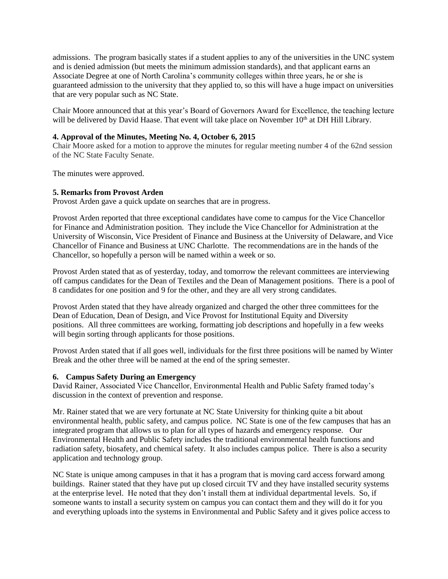admissions. The program basically states if a student applies to any of the universities in the UNC system and is denied admission (but meets the minimum admission standards), and that applicant earns an Associate Degree at one of North Carolina's community colleges within three years, he or she is guaranteed admission to the university that they applied to, so this will have a huge impact on universities that are very popular such as NC State.

Chair Moore announced that at this year's Board of Governors Award for Excellence, the teaching lecture will be delivered by David Haase. That event will take place on November 10<sup>th</sup> at DH Hill Library.

# **4. Approval of the Minutes, Meeting No. 4, October 6, 2015**

Chair Moore asked for a motion to approve the minutes for regular meeting number 4 of the 62nd session of the NC State Faculty Senate.

The minutes were approved.

# **5. Remarks from Provost Arden**

Provost Arden gave a quick update on searches that are in progress.

Provost Arden reported that three exceptional candidates have come to campus for the Vice Chancellor for Finance and Administration position. They include the Vice Chancellor for Administration at the University of Wisconsin, Vice President of Finance and Business at the University of Delaware, and Vice Chancellor of Finance and Business at UNC Charlotte. The recommendations are in the hands of the Chancellor, so hopefully a person will be named within a week or so.

Provost Arden stated that as of yesterday, today, and tomorrow the relevant committees are interviewing off campus candidates for the Dean of Textiles and the Dean of Management positions. There is a pool of 8 candidates for one position and 9 for the other, and they are all very strong candidates.

Provost Arden stated that they have already organized and charged the other three committees for the Dean of Education, Dean of Design, and Vice Provost for Institutional Equity and Diversity positions. All three committees are working, formatting job descriptions and hopefully in a few weeks will begin sorting through applicants for those positions.

Provost Arden stated that if all goes well, individuals for the first three positions will be named by Winter Break and the other three will be named at the end of the spring semester.

#### **6. Campus Safety During an Emergency**

David Rainer, Associated Vice Chancellor, Environmental Health and Public Safety framed today's discussion in the context of prevention and response.

Mr. Rainer stated that we are very fortunate at NC State University for thinking quite a bit about environmental health, public safety, and campus police. NC State is one of the few campuses that has an integrated program that allows us to plan for all types of hazards and emergency response. Our Environmental Health and Public Safety includes the traditional environmental health functions and radiation safety, biosafety, and chemical safety. It also includes campus police. There is also a security application and technology group.

NC State is unique among campuses in that it has a program that is moving card access forward among buildings. Rainer stated that they have put up closed circuit TV and they have installed security systems at the enterprise level. He noted that they don't install them at individual departmental levels. So, if someone wants to install a security system on campus you can contact them and they will do it for you and everything uploads into the systems in Environmental and Public Safety and it gives police access to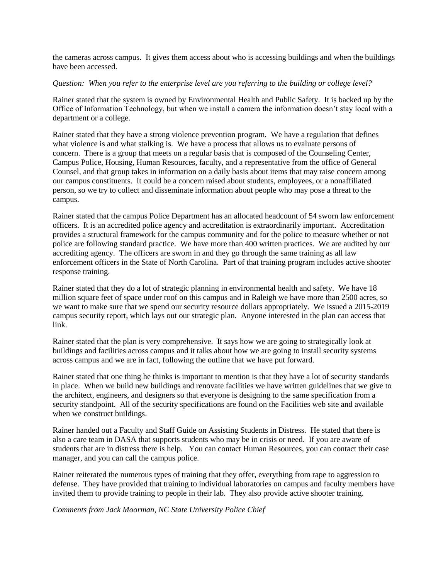the cameras across campus. It gives them access about who is accessing buildings and when the buildings have been accessed.

## *Question: When you refer to the enterprise level are you referring to the building or college level?*

Rainer stated that the system is owned by Environmental Health and Public Safety. It is backed up by the Office of Information Technology, but when we install a camera the information doesn't stay local with a department or a college.

Rainer stated that they have a strong violence prevention program. We have a regulation that defines what violence is and what stalking is. We have a process that allows us to evaluate persons of concern. There is a group that meets on a regular basis that is composed of the Counseling Center, Campus Police, Housing, Human Resources, faculty, and a representative from the office of General Counsel, and that group takes in information on a daily basis about items that may raise concern among our campus constituents. It could be a concern raised about students, employees, or a nonaffiliated person, so we try to collect and disseminate information about people who may pose a threat to the campus.

Rainer stated that the campus Police Department has an allocated headcount of 54 sworn law enforcement officers. It is an accredited police agency and accreditation is extraordinarily important. Accreditation provides a structural framework for the campus community and for the police to measure whether or not police are following standard practice. We have more than 400 written practices. We are audited by our accrediting agency. The officers are sworn in and they go through the same training as all law enforcement officers in the State of North Carolina. Part of that training program includes active shooter response training.

Rainer stated that they do a lot of strategic planning in environmental health and safety. We have 18 million square feet of space under roof on this campus and in Raleigh we have more than 2500 acres, so we want to make sure that we spend our security resource dollars appropriately. We issued a 2015-2019 campus security report, which lays out our strategic plan. Anyone interested in the plan can access that link.

Rainer stated that the plan is very comprehensive. It says how we are going to strategically look at buildings and facilities across campus and it talks about how we are going to install security systems across campus and we are in fact, following the outline that we have put forward.

Rainer stated that one thing he thinks is important to mention is that they have a lot of security standards in place. When we build new buildings and renovate facilities we have written guidelines that we give to the architect, engineers, and designers so that everyone is designing to the same specification from a security standpoint. All of the security specifications are found on the Facilities web site and available when we construct buildings.

Rainer handed out a Faculty and Staff Guide on Assisting Students in Distress. He stated that there is also a care team in DASA that supports students who may be in crisis or need. If you are aware of students that are in distress there is help. You can contact Human Resources, you can contact their case manager, and you can call the campus police.

Rainer reiterated the numerous types of training that they offer, everything from rape to aggression to defense. They have provided that training to individual laboratories on campus and faculty members have invited them to provide training to people in their lab. They also provide active shooter training.

*Comments from Jack Moorman, NC State University Police Chief*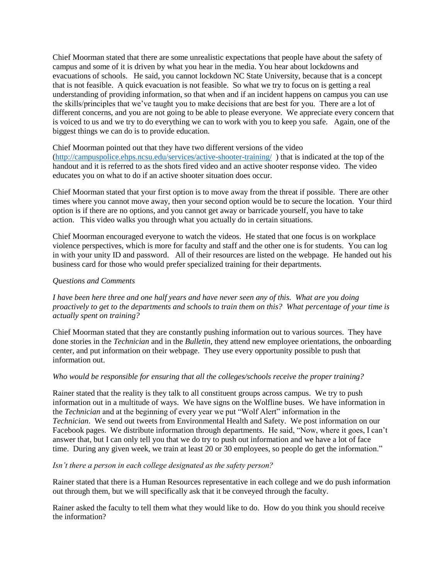Chief Moorman stated that there are some unrealistic expectations that people have about the safety of campus and some of it is driven by what you hear in the media. You hear about lockdowns and evacuations of schools. He said, you cannot lockdown NC State University, because that is a concept that is not feasible. A quick evacuation is not feasible. So what we try to focus on is getting a real understanding of providing information, so that when and if an incident happens on campus you can use the skills/principles that we've taught you to make decisions that are best for you. There are a lot of different concerns, and you are not going to be able to please everyone. We appreciate every concern that is voiced to us and we try to do everything we can to work with you to keep you safe. Again, one of the biggest things we can do is to provide education.

Chief Moorman pointed out that they have two different versions of the video

[\(http://campuspolice.ehps.ncsu.edu/services/active-shooter-training/](http://campuspolice.ehps.ncsu.edu/services/active-shooter-training/) ) that is indicated at the top of the handout and it is referred to as the shots fired video and an active shooter response video. The video educates you on what to do if an active shooter situation does occur.

Chief Moorman stated that your first option is to move away from the threat if possible. There are other times where you cannot move away, then your second option would be to secure the location. Your third option is if there are no options, and you cannot get away or barricade yourself, you have to take action. This video walks you through what you actually do in certain situations.

Chief Moorman encouraged everyone to watch the videos. He stated that one focus is on workplace violence perspectives, which is more for faculty and staff and the other one is for students. You can log in with your unity ID and password. All of their resources are listed on the webpage. He handed out his business card for those who would prefer specialized training for their departments.

# *Questions and Comments*

*I have been here three and one half years and have never seen any of this. What are you doing proactively to get to the departments and schools to train them on this? What percentage of your time is actually spent on training?*

Chief Moorman stated that they are constantly pushing information out to various sources. They have done stories in the *Technician* and in the *Bulletin,* they attend new employee orientations, the onboarding center, and put information on their webpage. They use every opportunity possible to push that information out.

# *Who would be responsible for ensuring that all the colleges/schools receive the proper training?*

Rainer stated that the reality is they talk to all constituent groups across campus. We try to push information out in a multitude of ways. We have signs on the Wolfline buses. We have information in the *Technician* and at the beginning of every year we put "Wolf Alert" information in the *Technician*. We send out tweets from Environmental Health and Safety. We post information on our Facebook pages. We distribute information through departments. He said, "Now, where it goes, I can't answer that, but I can only tell you that we do try to push out information and we have a lot of face time. During any given week, we train at least 20 or 30 employees, so people do get the information."

# *Isn't there a person in each college designated as the safety person?*

Rainer stated that there is a Human Resources representative in each college and we do push information out through them, but we will specifically ask that it be conveyed through the faculty.

Rainer asked the faculty to tell them what they would like to do. How do you think you should receive the information?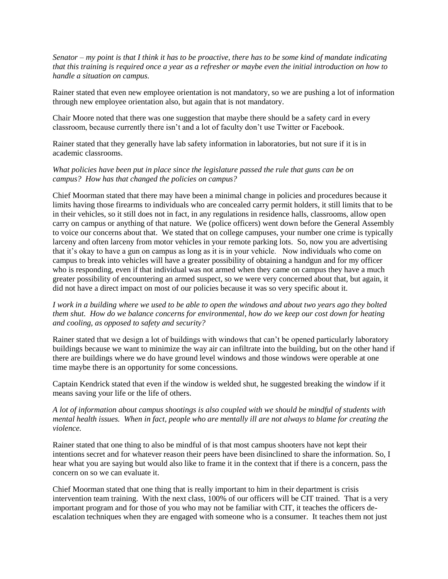*Senator – my point is that I think it has to be proactive, there has to be some kind of mandate indicating that this training is required once a year as a refresher or maybe even the initial introduction on how to handle a situation on campus.* 

Rainer stated that even new employee orientation is not mandatory, so we are pushing a lot of information through new employee orientation also, but again that is not mandatory.

Chair Moore noted that there was one suggestion that maybe there should be a safety card in every classroom, because currently there isn't and a lot of faculty don't use Twitter or Facebook.

Rainer stated that they generally have lab safety information in laboratories, but not sure if it is in academic classrooms.

## *What policies have been put in place since the legislature passed the rule that guns can be on campus? How has that changed the policies on campus?*

Chief Moorman stated that there may have been a minimal change in policies and procedures because it limits having those firearms to individuals who are concealed carry permit holders, it still limits that to be in their vehicles, so it still does not in fact, in any regulations in residence halls, classrooms, allow open carry on campus or anything of that nature. We (police officers) went down before the General Assembly to voice our concerns about that. We stated that on college campuses, your number one crime is typically larceny and often larceny from motor vehicles in your remote parking lots. So, now you are advertising that it's okay to have a gun on campus as long as it is in your vehicle. Now individuals who come on campus to break into vehicles will have a greater possibility of obtaining a handgun and for my officer who is responding, even if that individual was not armed when they came on campus they have a much greater possibility of encountering an armed suspect, so we were very concerned about that, but again, it did not have a direct impact on most of our policies because it was so very specific about it.

*I work in a building where we used to be able to open the windows and about two years ago they bolted them shut. How do we balance concerns for environmental, how do we keep our cost down for heating and cooling, as opposed to safety and security?*

Rainer stated that we design a lot of buildings with windows that can't be opened particularly laboratory buildings because we want to minimize the way air can infiltrate into the building, but on the other hand if there are buildings where we do have ground level windows and those windows were operable at one time maybe there is an opportunity for some concessions.

Captain Kendrick stated that even if the window is welded shut, he suggested breaking the window if it means saving your life or the life of others.

# *A lot of information about campus shootings is also coupled with we should be mindful of students with mental health issues. When in fact, people who are mentally ill are not always to blame for creating the violence.*

Rainer stated that one thing to also be mindful of is that most campus shooters have not kept their intentions secret and for whatever reason their peers have been disinclined to share the information. So, I hear what you are saying but would also like to frame it in the context that if there is a concern, pass the concern on so we can evaluate it.

Chief Moorman stated that one thing that is really important to him in their department is crisis intervention team training. With the next class, 100% of our officers will be CIT trained. That is a very important program and for those of you who may not be familiar with CIT, it teaches the officers deescalation techniques when they are engaged with someone who is a consumer. It teaches them not just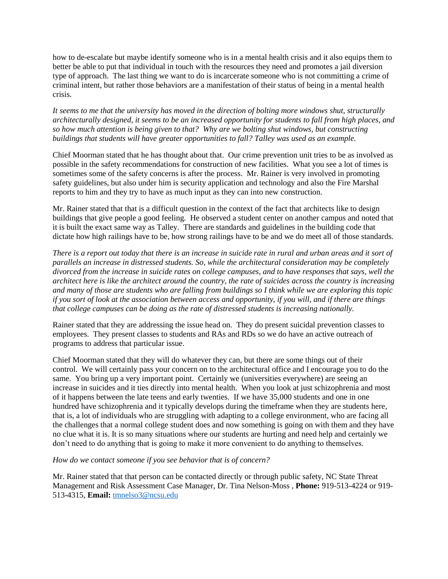how to de-escalate but maybe identify someone who is in a mental health crisis and it also equips them to better be able to put that individual in touch with the resources they need and promotes a jail diversion type of approach. The last thing we want to do is incarcerate someone who is not committing a crime of criminal intent, but rather those behaviors are a manifestation of their status of being in a mental health crisis.

*It seems to me that the university has moved in the direction of bolting more windows shut, structurally architecturally designed, it seems to be an increased opportunity for students to fall from high places, and so how much attention is being given to that? Why are we bolting shut windows, but constructing buildings that students will have greater opportunities to fall? Talley was used as an example.* 

Chief Moorman stated that he has thought about that. Our crime prevention unit tries to be as involved as possible in the safety recommendations for construction of new facilities. What you see a lot of times is sometimes some of the safety concerns is after the process. Mr. Rainer is very involved in promoting safety guidelines, but also under him is security application and technology and also the Fire Marshal reports to him and they try to have as much input as they can into new construction.

Mr. Rainer stated that that is a difficult question in the context of the fact that architects like to design buildings that give people a good feeling. He observed a student center on another campus and noted that it is built the exact same way as Talley. There are standards and guidelines in the building code that dictate how high railings have to be, how strong railings have to be and we do meet all of those standards.

*There is a report out today that there is an increase in suicide rate in rural and urban areas and it sort of parallels an increase in distressed students. So, while the architectural consideration may be completely divorced from the increase in suicide rates on college campuses, and to have responses that says, well the architect here is like the architect around the country, the rate of suicides across the country is increasing and many of those are students who are falling from buildings so I think while we are exploring this topic if you sort of look at the association between access and opportunity, if you will, and if there are things that college campuses can be doing as the rate of distressed students is increasing nationally.* 

Rainer stated that they are addressing the issue head on. They do present suicidal prevention classes to employees. They present classes to students and RAs and RDs so we do have an active outreach of programs to address that particular issue.

Chief Moorman stated that they will do whatever they can, but there are some things out of their control. We will certainly pass your concern on to the architectural office and I encourage you to do the same. You bring up a very important point. Certainly we (universities everywhere) are seeing an increase in suicides and it ties directly into mental health. When you look at just schizophrenia and most of it happens between the late teens and early twenties. If we have 35,000 students and one in one hundred have schizophrenia and it typically develops during the timeframe when they are students here, that is, a lot of individuals who are struggling with adapting to a college environment, who are facing all the challenges that a normal college student does and now something is going on with them and they have no clue what it is. It is so many situations where our students are hurting and need help and certainly we don't need to do anything that is going to make it more convenient to do anything to themselves.

#### *How do we contact someone if you see behavior that is of concern?*

Mr. Rainer stated that that person can be contacted directly or through public safety, NC State Threat Management and Risk Assessment Case Manager, Dr. Tina Nelson-Moss , **Phone:** 919-513-4224 or 919- 513-4315, **Email:** [tmnelso3@ncsu.edu](mailto:tmnelso3@ncsu.edu)